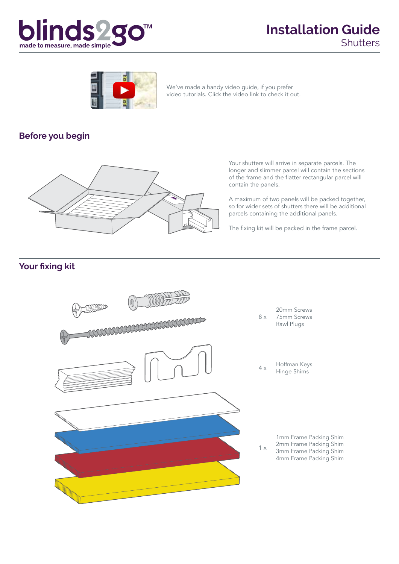



We've made a handy video guide, if you prefer video tutorials. Click the video link to check it out.

#### **Before you begin**



Your shutters will arrive in separate parcels. The longer and slimmer parcel will contain the sections of the frame and the flatter rectangular parcel will contain the panels.

A maximum of two panels will be packed together, so for wider sets of shutters there will be additional parcels containing the additional panels.

The fixing kit will be packed in the frame parcel.

#### **Your fixing kit**

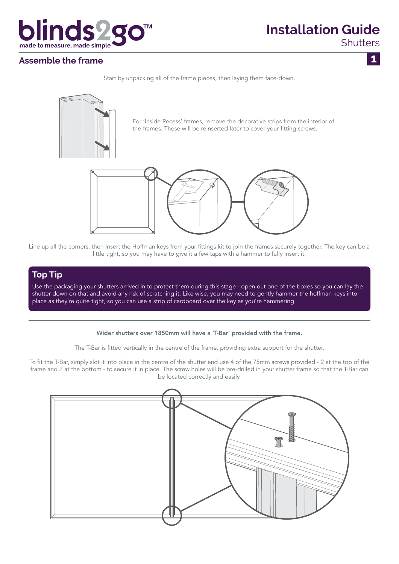

## **Installation Guide**

**Shutters** 

 $\mathbf{1}$ 

#### **Assemble the frame**

Start by unpacking all of the frame pieces, then laying them face-down.



Line up all the corners, then insert the Hoffman keys from your fittings kit to join the frames securely together. The key can be a little tight, so you may have to give it a few taps with a hammer to fully insert it.

#### **Top Tip**

Use the packaging your shutters arrived in to protect them during this stage - open out one of the boxes so you can lay the shutter down on that and avoid any risk of scratching it. Like wise, you may need to gently hammer the hoffman keys into place as they're quite tight, so you can use a strip of cardboard over the key as you're hammering.

#### Wider shutters over 1850mm will have a 'T-Bar' provided with the frame.

The T-Bar is fitted vertically in the centre of the frame, providing extra support for the shutter.

To fit the T-Bar, simply slot it into place in the centre of the shutter and use 4 of the 75mm screws provided - 2 at the top of the frame and 2 at the bottom - to secure it in place. The screw holes will be pre-drilled in your shutter frame so that the T-Bar can be located correctly and easily.

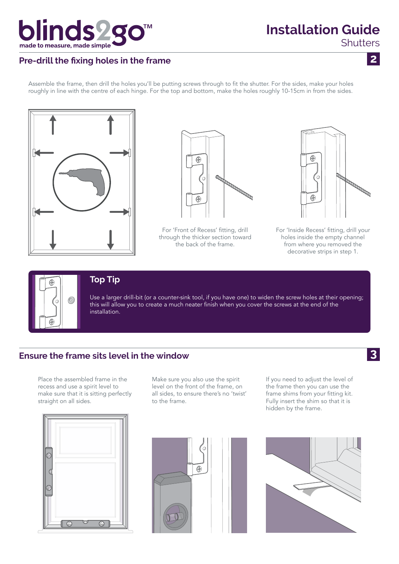

# **Installation Guide**

**Shutters** 

 $\overline{2}$ 

 $\mathbf{3}$ 

### **Pre-drill the fixing holes in the frame**

Assemble the frame, then drill the holes you'll be putting screws through to fit the shutter. For the sides, make your holes roughly in line with the centre of each hinge. For the top and bottom, make the holes roughly 10-15cm in from the sides.





For 'Front of Recess' fitting, drill through the thicker section toward the back of the frame.



For 'Inside Recess' fitting, drill your holes inside the empty channel from where you removed the decorative strips in step 1.



#### **Top Tip**

Use a larger drill-bit (or a counter-sink tool, if you have one) to widen the screw holes at their opening; this will allow you to create a much neater finish when you cover the screws at the end of the installation.

#### **Ensure the frame sits level in the window**

Place the assembled frame in the recess and use a spirit level to make sure that it is sitting perfectly straight on all sides.



Make sure you also use the spirit level on the front of the frame, on all sides, to ensure there's no 'twist' to the frame.

If you need to adjust the level of the frame then you can use the frame shims from your fitting kit. Fully insert the shim so that it is hidden by the frame.



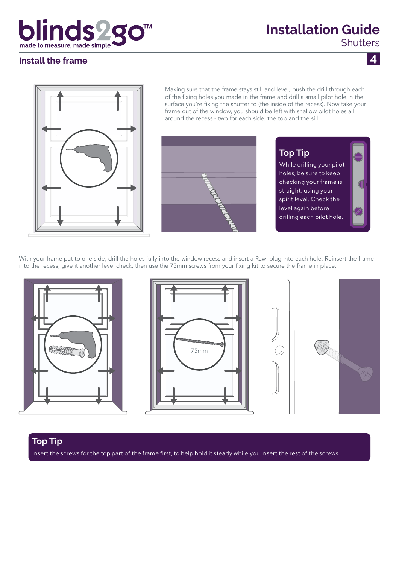## blinds2g made to measure, made simple

## **Installation Guide**

**Shutters** 

 $\overline{4}$ 

#### **Install the frame**



Making sure that the frame stays still and level, push the drill through each of the fixing holes you made in the frame and drill a small pilot hole in the surface you're fixing the shutter to (the inside of the recess). Now take your frame out of the window, you should be left with shallow pilot holes all around the recess - two for each side, the top and the sill.



**Top Tip** While drilling your pilot holes, be sure to keep checking your frame is straight, using your spirit level. Check the level again before drilling each pilot hole.

With your frame put to one side, drill the holes fully into the window recess and insert a Rawl plug into each hole. Reinsert the frame into the recess, give it another level check, then use the 75mm screws from your fixing kit to secure the frame in place.







#### **Top Tip**

Insert the screws for the top part of the frame first, to help hold it steady while you insert the rest of the screws.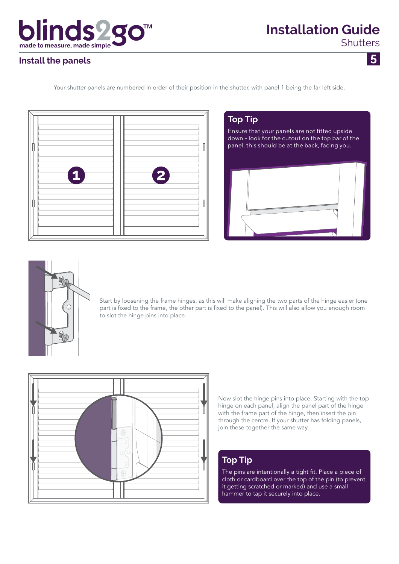

 $\overline{5}$ 

#### **Install the panels**

Your shutter panels are numbered in order of their position in the shutter, with panel 1 being the far left side.



# **Top Tip** Ensure that your panels are not fitted upside down - look for the cutout on the top bar of the panel, this should be at the back, facing you.



Start by loosening the frame hinges, as this will make aligning the two parts of the hinge easier (one part is fixed to the frame, the other part is fixed to the panel). This will also allow you enough room to slot the hinge pins into place.



Now slot the hinge pins into place. Starting with the top hinge on each panel, align the panel part of the hinge with the frame part of the hinge, then insert the pin through the centre. If your shutter has folding panels, join these together the same way.

#### **Top Tip**

The pins are intentionally a tight fit. Place a piece of cloth or cardboard over the top of the pin (to prevent it getting scratched or marked) and use a small hammer to tap it securely into place.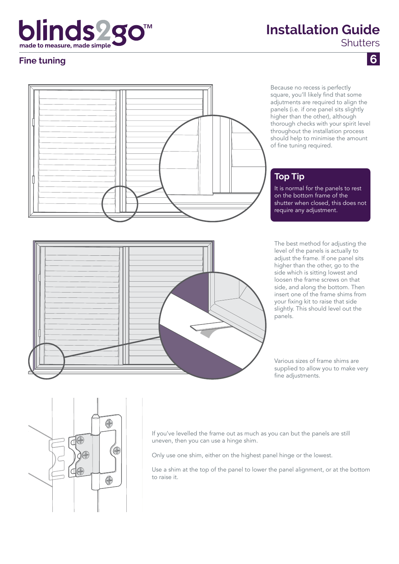## blinds<sub>2</sub> made to measure, made simple

## **Installation Guide**

**Shutters** 

#### **Fine tuning**



Because no recess is perfectly square, you'll likely find that some adjutments are required to align the panels (i.e. if one panel sits slightly higher than the other), although thorough checks with your spirit level throughout the installation process should help to minimise the amount of fine tuning required.

#### **Top Tip**

It is normal for the panels to rest on the bottom frame of the shutter when closed, this does not require any adjustment.

The best method for adjusting the level of the panels is actually to adjust the frame. If one panel sits higher than the other, go to the side which is sitting lowest and loosen the frame screws on that side, and along the bottom. Then insert one of the frame shims from your fixing kit to raise that side slightly. This should level out the panels.

Various sizes of frame shims are supplied to allow you to make very fine adjustments.





If you've levelled the frame out as much as you can but the panels are still uneven, then you can use a hinge shim.

Only use one shim, either on the highest panel hinge or the lowest.

Use a shim at the top of the panel to lower the panel alignment, or at the bottom to raise it.